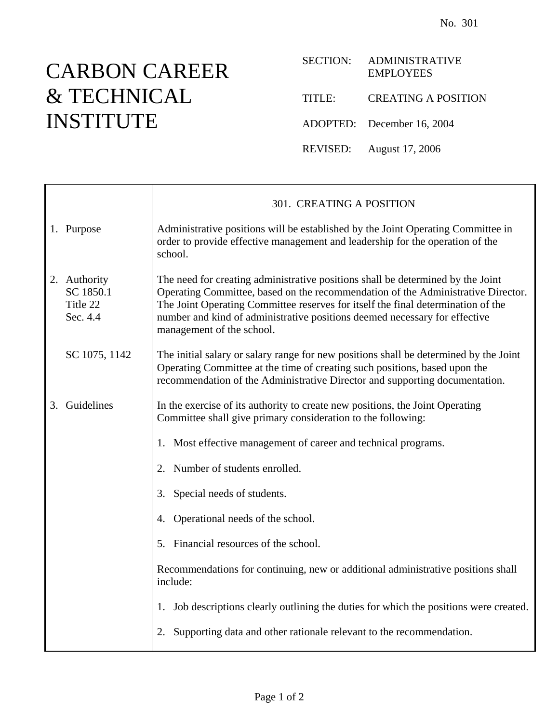## CARBON CAREER & TECHNICAL INSTITUTE

|        | SECTION: ADMINISTRATIVE<br><b>EMPLOYEES</b> |
|--------|---------------------------------------------|
| TITLE: | <b>CREATING A POSITION</b>                  |
|        | ADOPTED: December 16, 2004                  |
|        | REVISED: August 17, 2006                    |

|    |                                                   | 301. CREATING A POSITION                                                                                                                                                                                                                                                                                                                                           |
|----|---------------------------------------------------|--------------------------------------------------------------------------------------------------------------------------------------------------------------------------------------------------------------------------------------------------------------------------------------------------------------------------------------------------------------------|
|    | 1. Purpose                                        | Administrative positions will be established by the Joint Operating Committee in<br>order to provide effective management and leadership for the operation of the<br>school.                                                                                                                                                                                       |
|    | 2. Authority<br>SC 1850.1<br>Title 22<br>Sec. 4.4 | The need for creating administrative positions shall be determined by the Joint<br>Operating Committee, based on the recommendation of the Administrative Director.<br>The Joint Operating Committee reserves for itself the final determination of the<br>number and kind of administrative positions deemed necessary for effective<br>management of the school. |
|    | SC 1075, 1142                                     | The initial salary or salary range for new positions shall be determined by the Joint<br>Operating Committee at the time of creating such positions, based upon the<br>recommendation of the Administrative Director and supporting documentation.                                                                                                                 |
| 3. | Guidelines                                        | In the exercise of its authority to create new positions, the Joint Operating<br>Committee shall give primary consideration to the following:                                                                                                                                                                                                                      |
|    |                                                   | Most effective management of career and technical programs.<br>1.                                                                                                                                                                                                                                                                                                  |
|    |                                                   | Number of students enrolled.<br>2.                                                                                                                                                                                                                                                                                                                                 |
|    |                                                   | Special needs of students.<br>3.                                                                                                                                                                                                                                                                                                                                   |
|    |                                                   | 4. Operational needs of the school.                                                                                                                                                                                                                                                                                                                                |
|    |                                                   | 5. Financial resources of the school.                                                                                                                                                                                                                                                                                                                              |
|    |                                                   | Recommendations for continuing, new or additional administrative positions shall<br>include:                                                                                                                                                                                                                                                                       |
|    |                                                   | Job descriptions clearly outlining the duties for which the positions were created.<br>1.                                                                                                                                                                                                                                                                          |
|    |                                                   | Supporting data and other rationale relevant to the recommendation.<br>2.                                                                                                                                                                                                                                                                                          |